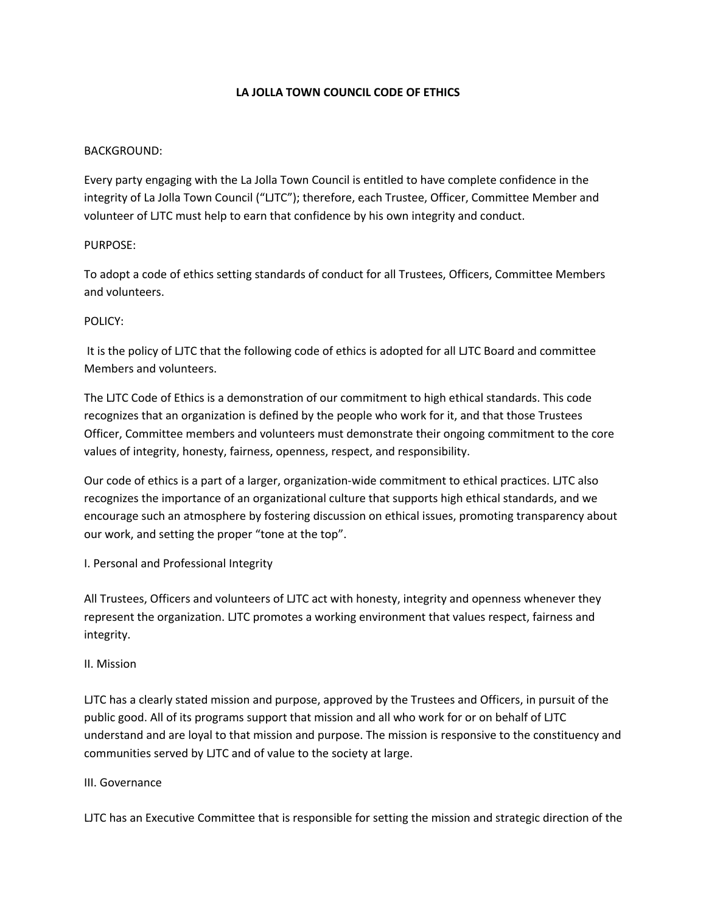## **LA JOLLA TOWN COUNCIL CODE OF ETHICS**

### BACKGROUND:

Every party engaging with the La Jolla Town Council is entitled to have complete confidence in the integrity of La Jolla Town Council ("LJTC"); therefore, each Trustee, Officer, Committee Member and volunteer of LJTC must help to earn that confidence by his own integrity and conduct.

## PURPOSE:

To adopt a code of ethics setting standards of conduct for all Trustees, Officers, Committee Members and volunteers.

#### POLICY:

It is the policy of LJTC that the following code of ethics is adopted for all LJTC Board and committee Members and volunteers.

The LJTC Code of Ethics is a demonstration of our commitment to high ethical standards. This code recognizes that an organization is defined by the people who work for it, and that those Trustees Officer, Committee members and volunteers must demonstrate their ongoing commitment to the core values of integrity, honesty, fairness, openness, respect, and responsibility.

Our code of ethics is a part of a larger, organization-wide commitment to ethical practices. LJTC also recognizes the importance of an organizational culture that supports high ethical standards, and we encourage such an atmosphere by fostering discussion on ethical issues, promoting transparency about our work, and setting the proper "tone at the top".

## I. Personal and Professional Integrity

All Trustees, Officers and volunteers of LJTC act with honesty, integrity and openness whenever they represent the organization. LJTC promotes a working environment that values respect, fairness and integrity.

#### II. Mission

LJTC has a clearly stated mission and purpose, approved by the Trustees and Officers, in pursuit of the public good. All of its programs support that mission and all who work for or on behalf of LJTC understand and are loyal to that mission and purpose. The mission is responsive to the constituency and communities served by LJTC and of value to the society at large.

#### III. Governance

LJTC has an Executive Committee that is responsible for setting the mission and strategic direction of the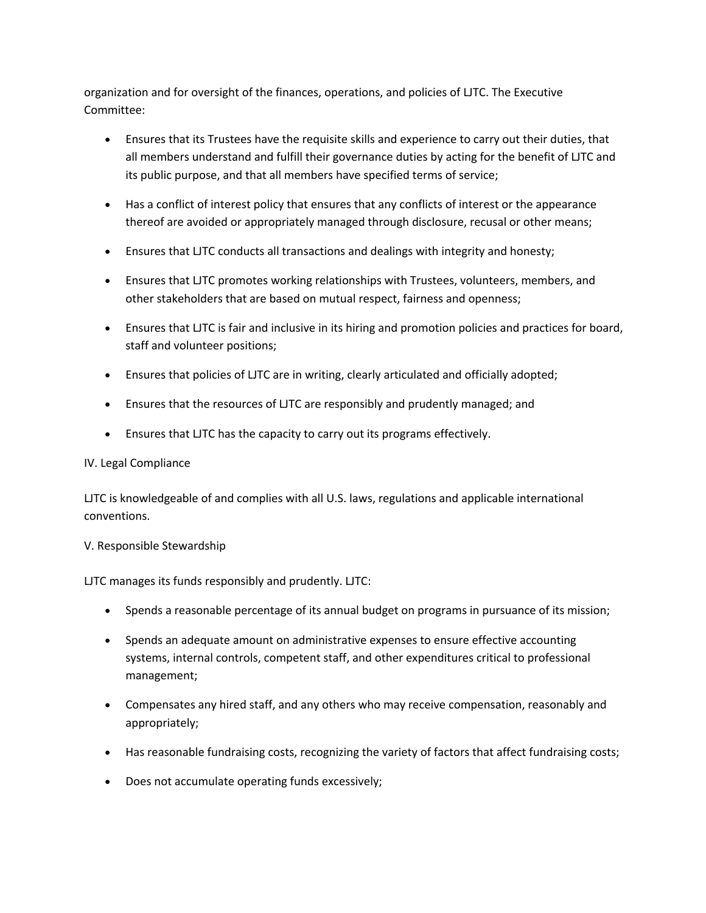organization and for oversight of the finances, operations, and policies of LJTC. The Executive Committee:

- Ensures that its Trustees have the requisite skills and experience to carry out their duties, that all members understand and fulfill their governance duties by acting for the benefit of LJTC and its public purpose, and that all members have specified terms of service;
- Has a conflict of interest policy that ensures that any conflicts of interest or the appearance thereof are avoided or appropriately managed through disclosure, recusal or other means;
- Ensures that LJTC conducts all transactions and dealings with integrity and honesty;
- Ensures that LJTC promotes working relationships with Trustees, volunteers, members, and other stakeholders that are based on mutual respect, fairness and openness;
- Ensures that LJTC is fair and inclusive in its hiring and promotion policies and practices for board, staff and volunteer positions;
- Ensures that policies of LJTC are in writing, clearly articulated and officially adopted;
- Ensures that the resources of LJTC are responsibly and prudently managed; and
- Ensures that LJTC has the capacity to carry out its programs effectively.

## IV. Legal Compliance

LJTC is knowledgeable of and complies with all U.S. laws, regulations and applicable international conventions.

## V. Responsible Stewardship

# LJTC manages its funds responsibly and prudently. LJTC:

- Spends a reasonable percentage of its annual budget on programs in pursuance of its mission;
- Spends an adequate amount on administrative expenses to ensure effective accounting systems, internal controls, competent staff, and other expenditures critical to professional management;
- Compensates any hired staff, and any others who may receive compensation, reasonably and appropriately;
- Has reasonable fundraising costs, recognizing the variety of factors that affect fundraising costs;
- Does not accumulate operating funds excessively;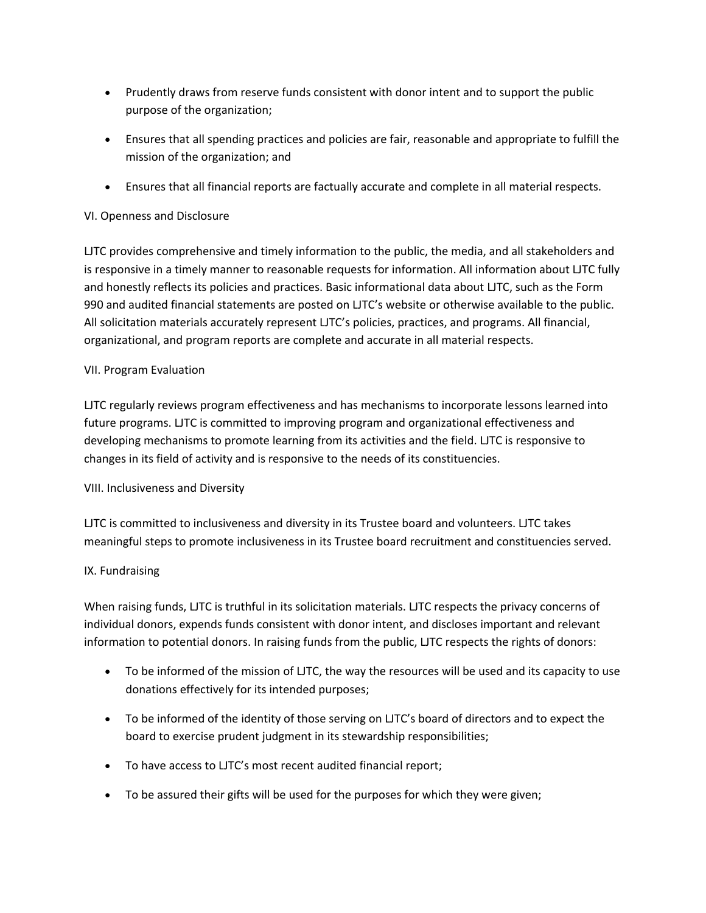- Prudently draws from reserve funds consistent with donor intent and to support the public purpose of the organization;
- Ensures that all spending practices and policies are fair, reasonable and appropriate to fulfill the mission of the organization; and
- Ensures that all financial reports are factually accurate and complete in all material respects.

# VI. Openness and Disclosure

LJTC provides comprehensive and timely information to the public, the media, and all stakeholders and is responsive in a timely manner to reasonable requests for information. All information about LJTC fully and honestly reflects its policies and practices. Basic informational data about LJTC, such as the Form 990 and audited financial statements are posted on LJTC's website or otherwise available to the public. All solicitation materials accurately represent LJTC's policies, practices, and programs. All financial, organizational, and program reports are complete and accurate in all material respects.

## VII. Program Evaluation

LJTC regularly reviews program effectiveness and has mechanisms to incorporate lessons learned into future programs. LJTC is committed to improving program and organizational effectiveness and developing mechanisms to promote learning from its activities and the field. LJTC is responsive to changes in its field of activity and is responsive to the needs of its constituencies.

# VIII. Inclusiveness and Diversity

LJTC is committed to inclusiveness and diversity in its Trustee board and volunteers. LJTC takes meaningful steps to promote inclusiveness in its Trustee board recruitment and constituencies served.

# IX. Fundraising

When raising funds, LJTC is truthful in its solicitation materials. LJTC respects the privacy concerns of individual donors, expends funds consistent with donor intent, and discloses important and relevant information to potential donors. In raising funds from the public, LJTC respects the rights of donors:

- To be informed of the mission of LJTC, the way the resources will be used and its capacity to use donations effectively for its intended purposes;
- To be informed of the identity of those serving on LJTC's board of directors and to expect the board to exercise prudent judgment in its stewardship responsibilities;
- To have access to LJTC's most recent audited financial report;
- To be assured their gifts will be used for the purposes for which they were given;